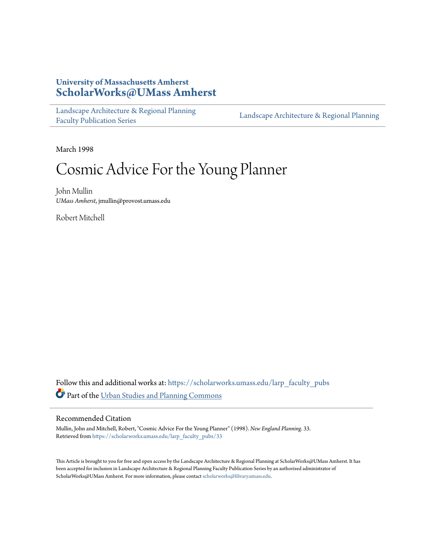## **University of Massachusetts Amherst [ScholarWorks@UMass Amherst](https://scholarworks.umass.edu?utm_source=scholarworks.umass.edu%2Flarp_faculty_pubs%2F33&utm_medium=PDF&utm_campaign=PDFCoverPages)**

[Landscape Architecture & Regional Planning](https://scholarworks.umass.edu/larp_faculty_pubs?utm_source=scholarworks.umass.edu%2Flarp_faculty_pubs%2F33&utm_medium=PDF&utm_campaign=PDFCoverPages) [Faculty Publication Series](https://scholarworks.umass.edu/larp_faculty_pubs?utm_source=scholarworks.umass.edu%2Flarp_faculty_pubs%2F33&utm_medium=PDF&utm_campaign=PDFCoverPages)

[Landscape Architecture & Regional Planning](https://scholarworks.umass.edu/larp?utm_source=scholarworks.umass.edu%2Flarp_faculty_pubs%2F33&utm_medium=PDF&utm_campaign=PDFCoverPages)

March 1998

## Cosmic Advice For the Young Planner

John Mullin *UMass Amherst*, jmullin@provost.umass.edu

Robert Mitchell

Follow this and additional works at: [https://scholarworks.umass.edu/larp\\_faculty\\_pubs](https://scholarworks.umass.edu/larp_faculty_pubs?utm_source=scholarworks.umass.edu%2Flarp_faculty_pubs%2F33&utm_medium=PDF&utm_campaign=PDFCoverPages) Part of the [Urban Studies and Planning Commons](http://network.bepress.com/hgg/discipline/436?utm_source=scholarworks.umass.edu%2Flarp_faculty_pubs%2F33&utm_medium=PDF&utm_campaign=PDFCoverPages)

## Recommended Citation

Mullin, John and Mitchell, Robert, "Cosmic Advice For the Young Planner" (1998). *New England Planning*. 33. Retrieved from [https://scholarworks.umass.edu/larp\\_faculty\\_pubs/33](https://scholarworks.umass.edu/larp_faculty_pubs/33?utm_source=scholarworks.umass.edu%2Flarp_faculty_pubs%2F33&utm_medium=PDF&utm_campaign=PDFCoverPages)

This Article is brought to you for free and open access by the Landscape Architecture & Regional Planning at ScholarWorks@UMass Amherst. It has been accepted for inclusion in Landscape Architecture & Regional Planning Faculty Publication Series by an authorized administrator of ScholarWorks@UMass Amherst. For more information, please contact [scholarworks@library.umass.edu.](mailto:scholarworks@library.umass.edu)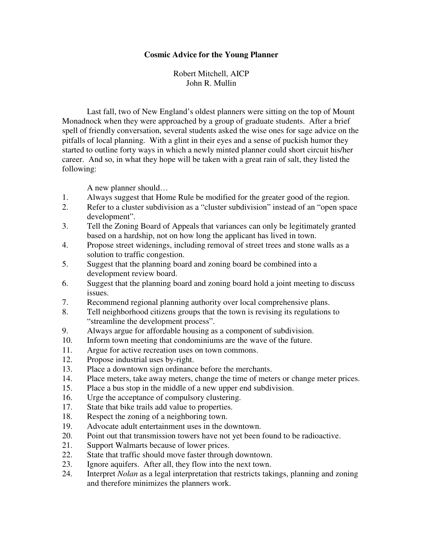## **Cosmic Advice for the Young Planner**

Robert Mitchell, AICP John R. Mullin

 Last fall, two of New England's oldest planners were sitting on the top of Mount Monadnock when they were approached by a group of graduate students. After a brief spell of friendly conversation, several students asked the wise ones for sage advice on the pitfalls of local planning. With a glint in their eyes and a sense of puckish humor they started to outline forty ways in which a newly minted planner could short circuit his/her career. And so, in what they hope will be taken with a great rain of salt, they listed the following:

A new planner should…

- 1. Always suggest that Home Rule be modified for the greater good of the region.
- 2. Refer to a cluster subdivision as a "cluster subdivision" instead of an "open space development".
- 3. Tell the Zoning Board of Appeals that variances can only be legitimately granted based on a hardship, not on how long the applicant has lived in town.
- 4. Propose street widenings, including removal of street trees and stone walls as a solution to traffic congestion.
- 5. Suggest that the planning board and zoning board be combined into a development review board.
- 6. Suggest that the planning board and zoning board hold a joint meeting to discuss issues.
- 7. Recommend regional planning authority over local comprehensive plans.
- 8. Tell neighborhood citizens groups that the town is revising its regulations to "streamline the development process".
- 9. Always argue for affordable housing as a component of subdivision.
- 10. Inform town meeting that condominiums are the wave of the future.
- 11. Argue for active recreation uses on town commons.
- 12. Propose industrial uses by-right.
- 13. Place a downtown sign ordinance before the merchants.
- 14. Place meters, take away meters, change the time of meters or change meter prices.
- 15. Place a bus stop in the middle of a new upper end subdivision.
- 16. Urge the acceptance of compulsory clustering.<br>17. State that bike trails add value to properties.
- State that bike trails add value to properties.
- 18. Respect the zoning of a neighboring town.
- 19. Advocate adult entertainment uses in the downtown.
- 20. Point out that transmission towers have not yet been found to be radioactive.
- 21. Support Walmarts because of lower prices.
- 22. State that traffic should move faster through downtown.
- 23. Ignore aquifers. After all, they flow into the next town.
- 24. Interpret *Nolan* as a legal interpretation that restricts takings, planning and zoning and therefore minimizes the planners work.